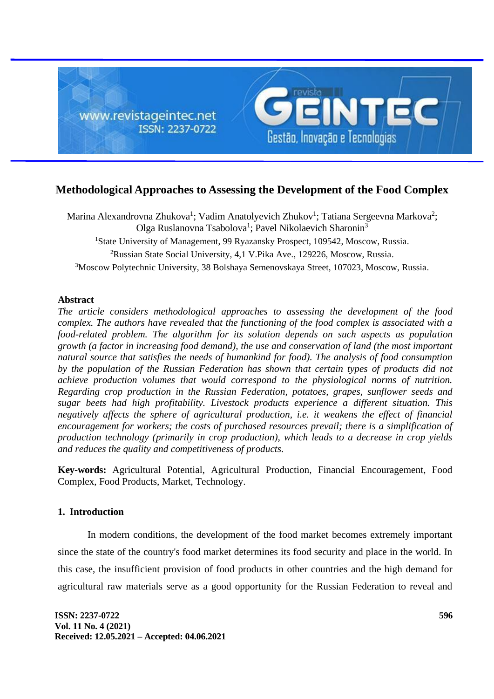

# **Methodological Approaches to Assessing the Development of the Food Complex**

Marina Alexandrovna Zhukova<sup>1</sup>; Vadim Anatolyevich Zhukov<sup>1</sup>; Tatiana Sergeevna Markova<sup>2</sup>; Olga Ruslanovna Tsabolova<sup>1</sup>; Pavel Nikolaevich Sharonin<sup>3</sup> <sup>1</sup>State University of Management, 99 Ryazansky Prospect, 109542, Moscow, Russia. <sup>2</sup>Russian State Social University, 4,1 V.Pika Ave., 129226, Moscow, Russia. <sup>3</sup>Moscow Polytechnic University, 38 Bolshaya Semenovskaya Street, 107023, Moscow, Russia.

## **Abstract**

*The article considers methodological approaches to assessing the development of the food complex. The authors have revealed that the functioning of the food complex is associated with a food-related problem. The algorithm for its solution depends on such aspects as population growth (a factor in increasing food demand), the use and conservation of land (the most important natural source that satisfies the needs of humankind for food). The analysis of food consumption by the population of the Russian Federation has shown that certain types of products did not achieve production volumes that would correspond to the physiological norms of nutrition. Regarding crop production in the Russian Federation, potatoes, grapes, sunflower seeds and sugar beets had high profitability. Livestock products experience a different situation. This negatively affects the sphere of agricultural production, i.e. it weakens the effect of financial encouragement for workers; the costs of purchased resources prevail; there is a simplification of production technology (primarily in crop production), which leads to a decrease in crop yields and reduces the quality and competitiveness of products.*

**Key-words:** Agricultural Potential, Agricultural Production, Financial Encouragement, Food Complex, Food Products, Market, Technology.

## **1. Introduction**

In modern conditions, the development of the food market becomes extremely important since the state of the country's food market determines its food security and place in the world. In this case, the insufficient provision of food products in other countries and the high demand for agricultural raw materials serve as a good opportunity for the Russian Federation to reveal and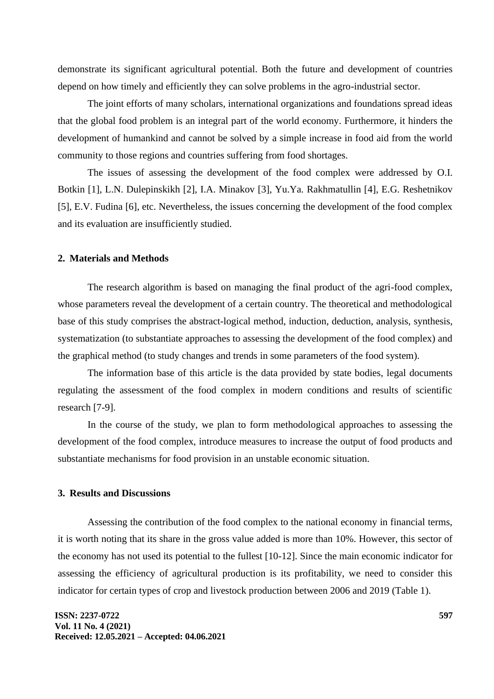demonstrate its significant agricultural potential. Both the future and development of countries depend on how timely and efficiently they can solve problems in the agro-industrial sector.

The joint efforts of many scholars, international organizations and foundations spread ideas that the global food problem is an integral part of the world economy. Furthermore, it hinders the development of humankind and cannot be solved by a simple increase in food aid from the world community to those regions and countries suffering from food shortages.

The issues of assessing the development of the food complex were addressed by O.I. Botkin [1], L.N. Dulepinskikh [2], I.A. Minakov [3], Yu.Ya. Rakhmatullin [4], E.G. Reshetnikov [5], E.V. Fudina [6], etc. Nevertheless, the issues concerning the development of the food complex and its evaluation are insufficiently studied.

#### **2. Materials and Methods**

The research algorithm is based on managing the final product of the agri-food complex, whose parameters reveal the development of a certain country. The theoretical and methodological base of this study comprises the abstract-logical method, induction, deduction, analysis, synthesis, systematization (to substantiate approaches to assessing the development of the food complex) and the graphical method (to study changes and trends in some parameters of the food system).

The information base of this article is the data provided by state bodies, legal documents regulating the assessment of the food complex in modern conditions and results of scientific research [7-9].

In the course of the study, we plan to form methodological approaches to assessing the development of the food complex, introduce measures to increase the output of food products and substantiate mechanisms for food provision in an unstable economic situation.

### **3. Results and Discussions**

Assessing the contribution of the food complex to the national economy in financial terms, it is worth noting that its share in the gross value added is more than 10%. However, this sector of the economy has not used its potential to the fullest [10-12]. Since the main economic indicator for assessing the efficiency of agricultural production is its profitability, we need to consider this indicator for certain types of crop and livestock production between 2006 and 2019 (Table 1).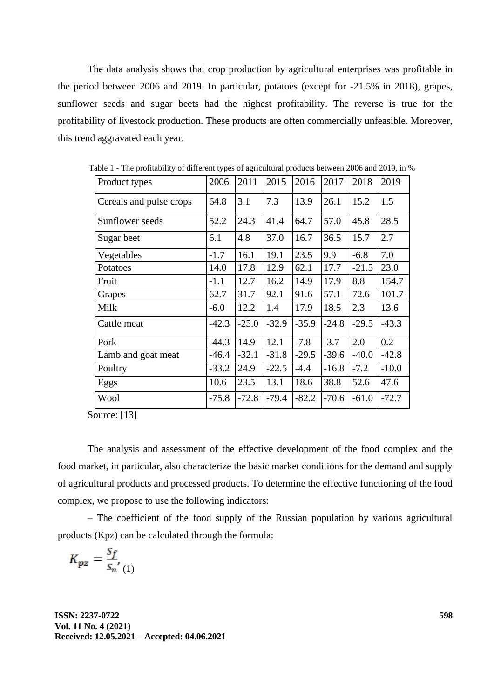The data analysis shows that crop production by agricultural enterprises was profitable in the period between 2006 and 2019. In particular, potatoes (except for -21.5% in 2018), grapes, sunflower seeds and sugar beets had the highest profitability. The reverse is true for the profitability of livestock production. These products are often commercially unfeasible. Moreover, this trend aggravated each year.

| Product types           | 2006    | 2011    | 2015    | 2016    | 2017    | 2018    | 2019    |
|-------------------------|---------|---------|---------|---------|---------|---------|---------|
| Cereals and pulse crops | 64.8    | 3.1     | 7.3     | 13.9    | 26.1    | 15.2    | 1.5     |
| Sunflower seeds         | 52.2    | 24.3    | 41.4    | 64.7    | 57.0    | 45.8    | 28.5    |
| Sugar beet              | 6.1     | 4.8     | 37.0    | 16.7    | 36.5    | 15.7    | 2.7     |
| Vegetables              | $-1.7$  | 16.1    | 19.1    | 23.5    | 9.9     | $-6.8$  | 7.0     |
| Potatoes                | 14.0    | 17.8    | 12.9    | 62.1    | 17.7    | $-21.5$ | 23.0    |
| Fruit                   | $-1.1$  | 12.7    | 16.2    | 14.9    | 17.9    | 8.8     | 154.7   |
| Grapes                  | 62.7    | 31.7    | 92.1    | 91.6    | 57.1    | 72.6    | 101.7   |
| Milk                    | $-6.0$  | 12.2    | 1.4     | 17.9    | 18.5    | 2.3     | 13.6    |
| Cattle meat             | $-42.3$ | $-25.0$ | $-32.9$ | $-35.9$ | $-24.8$ | $-29.5$ | $-43.3$ |
| Pork                    | $-44.3$ | 14.9    | 12.1    | $-7.8$  | $-3.7$  | 2.0     | 0.2     |
| Lamb and goat meat      | $-46.4$ | $-32.1$ | $-31.8$ | $-29.5$ | $-39.6$ | $-40.0$ | $-42.8$ |
| Poultry                 | $-33.2$ | 24.9    | $-22.5$ | $-4.4$  | $-16.8$ | $-7.2$  | $-10.0$ |
| Eggs                    | 10.6    | 23.5    | 13.1    | 18.6    | 38.8    | 52.6    | 47.6    |
| Wool                    | $-75.8$ | $-72.8$ | $-79.4$ | $-82.2$ | $-70.6$ | $-61.0$ | $-72.7$ |

Table 1 - The profitability of different types of agricultural products between 2006 and 2019, in %

Source: [13]

The analysis and assessment of the effective development of the food complex and the food market, in particular, also characterize the basic market conditions for the demand and supply of agricultural products and processed products. To determine the effective functioning of the food complex, we propose to use the following indicators:

– The coefficient of the food supply of the Russian population by various agricultural products (Kpz) can be calculated through the formula:

$$
K_{pz} = \frac{S_f}{S_n} \left( \begin{smallmatrix} 1 \end{smallmatrix} \right)
$$

**ISSN: 2237-0722 Vol. 11 No. 4 (2021) Received: 12.05.2021 – Accepted: 04.06.2021**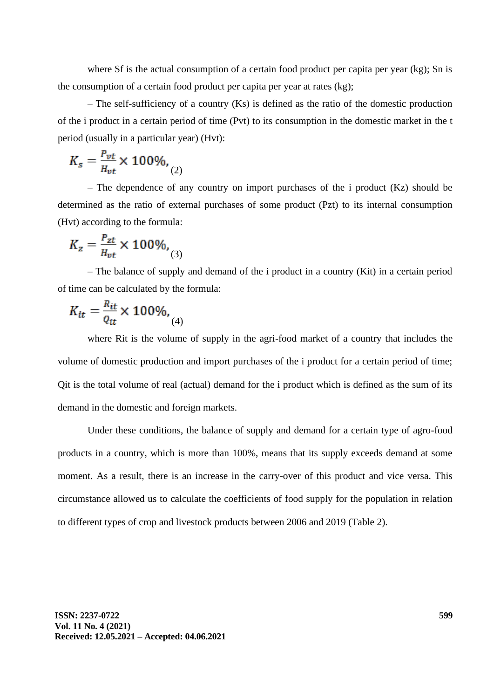where Sf is the actual consumption of a certain food product per capita per year (kg); Sn is the consumption of a certain food product per capita per year at rates (kg);

– The self-sufficiency of a country (Ks) is defined as the ratio of the domestic production of the i product in a certain period of time (Pvt) to its consumption in the domestic market in the t period (usually in a particular year) (Hvt):

$$
K_s = \frac{P_{vt}}{H_{vt}} \times 100\%, \quad (2)
$$

– The dependence of any country on import purchases of the i product (Kz) should be determined as the ratio of external purchases of some product (Pzt) to its internal consumption (Hvt) according to the formula:

$$
K_z = \frac{P_{zt}}{H_{vt}} \times 100\%,
$$
 (3)

– The balance of supply and demand of the i product in a country (Kit) in a certain period of time can be calculated by the formula:

$$
K_{it} = \frac{R_{it}}{Q_{it}} \times 100\%,
$$
 (4)

where Rit is the volume of supply in the agri-food market of a country that includes the volume of domestic production and import purchases of the i product for a certain period of time; Qit is the total volume of real (actual) demand for the i product which is defined as the sum of its demand in the domestic and foreign markets.

Under these conditions, the balance of supply and demand for a certain type of agro-food products in a country, which is more than 100%, means that its supply exceeds demand at some moment. As a result, there is an increase in the carry-over of this product and vice versa. This circumstance allowed us to calculate the coefficients of food supply for the population in relation to different types of crop and livestock products between 2006 and 2019 (Table 2).

**ISSN: 2237-0722 Vol. 11 No. 4 (2021) Received: 12.05.2021 – Accepted: 04.06.2021**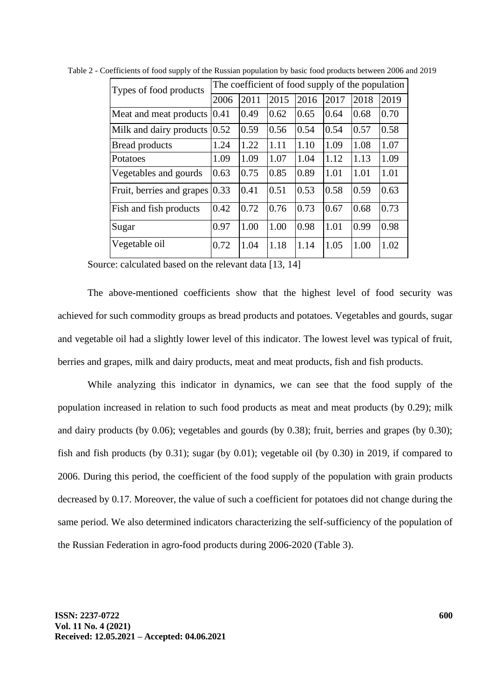| Types of food products    | The coefficient of food supply of the population |      |      |      |      |      |      |  |  |
|---------------------------|--------------------------------------------------|------|------|------|------|------|------|--|--|
|                           | 2006                                             | 2011 | 2015 | 2016 | 2017 | 2018 | 2019 |  |  |
| Meat and meat products    | 0.41                                             | 0.49 | 0.62 | 0.65 | 0.64 | 0.68 | 0.70 |  |  |
| Milk and dairy products   | 0.52                                             | 0.59 | 0.56 | 0.54 | 0.54 | 0.57 | 0.58 |  |  |
| <b>Bread products</b>     | 1.24                                             | 1.22 | 1.11 | 1.10 | 1.09 | 1.08 | 1.07 |  |  |
| Potatoes                  | 1.09                                             | 1.09 | 1.07 | 1.04 | 1.12 | 1.13 | 1.09 |  |  |
| Vegetables and gourds     | 0.63                                             | 0.75 | 0.85 | 0.89 | 1.01 | 1.01 | 1.01 |  |  |
| Fruit, berries and grapes | 0.33                                             | 0.41 | 0.51 | 0.53 | 0.58 | 0.59 | 0.63 |  |  |
| Fish and fish products    | 0.42                                             | 0.72 | 0.76 | 0.73 | 0.67 | 0.68 | 0.73 |  |  |
| Sugar                     | 0.97                                             | 1.00 | 1.00 | 0.98 | 1.01 | 0.99 | 0.98 |  |  |
| Vegetable oil             | 0.72                                             | 1.04 | 1.18 | 1.14 | 1.05 | 1.00 | 1.02 |  |  |

Table 2 - Coefficients of food supply of the Russian population by basic food products between 2006 and 2019

Source: calculated based on the relevant data [13, 14]

The above-mentioned coefficients show that the highest level of food security was achieved for such commodity groups as bread products and potatoes. Vegetables and gourds, sugar and vegetable oil had a slightly lower level of this indicator. The lowest level was typical of fruit, berries and grapes, milk and dairy products, meat and meat products, fish and fish products.

While analyzing this indicator in dynamics, we can see that the food supply of the population increased in relation to such food products as meat and meat products (by 0.29); milk and dairy products (by 0.06); vegetables and gourds (by 0.38); fruit, berries and grapes (by 0.30); fish and fish products (by 0.31); sugar (by 0.01); vegetable oil (by 0.30) in 2019, if compared to 2006. During this period, the coefficient of the food supply of the population with grain products decreased by 0.17. Moreover, the value of such a coefficient for potatoes did not change during the same period. We also determined indicators characterizing the self-sufficiency of the population of the Russian Federation in agro-food products during 2006-2020 (Table 3).

**ISSN: 2237-0722 Vol. 11 No. 4 (2021) Received: 12.05.2021 – Accepted: 04.06.2021**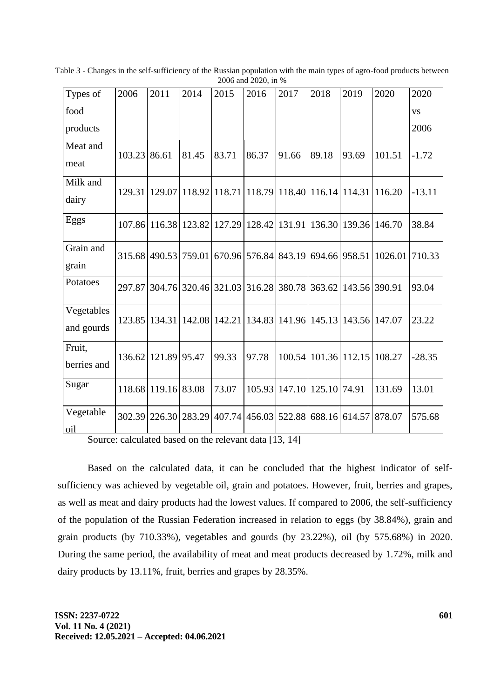| Types of                 | 2006         | 2011                                                         | 2014   | 2015   | 2016                 | 2017                                                | 2018          | 2019                 | 2020    | 2020      |
|--------------------------|--------------|--------------------------------------------------------------|--------|--------|----------------------|-----------------------------------------------------|---------------|----------------------|---------|-----------|
| food                     |              |                                                              |        |        |                      |                                                     |               |                      |         | <b>VS</b> |
| products                 |              |                                                              |        |        |                      |                                                     |               |                      |         | 2006      |
| Meat and                 | 103.23 86.61 |                                                              | 81.45  | 83.71  | 86.37                | 91.66                                               | 89.18         | 93.69                | 101.51  | $-1.72$   |
| meat                     |              |                                                              |        |        |                      |                                                     |               |                      |         |           |
| Milk and                 |              | 129.31   129.07   118.92                                     |        |        |                      | 118.71   118.79   118.40   116.14   114.31   116.20 |               |                      |         | $-13.11$  |
| dairy                    |              |                                                              |        |        |                      |                                                     |               |                      |         |           |
| Eggs                     |              | 107.86 116.38                                                | 123.82 |        | 127.29 128.42 131.91 |                                                     |               | 136.30 139.36 146.70 |         | 38.84     |
| Grain and<br>grain       |              | 315.68 490.53 759.01                                         |        |        |                      | 670.96 576.84 843.19                                | 694.66 958.51 |                      | 1026.01 | 710.33    |
| Potatoes                 |              | 297.87 304.76 320.46 321.03 316.28 380.78                    |        |        |                      |                                                     | 363.62        | 143.56 390.91        |         | 93.04     |
| Vegetables<br>and gourds |              | 123.85   134.31   142.08   142.21   134.83   141.96   145.13 |        |        |                      |                                                     |               | 143.56 147.07        |         | 23.22     |
| Fruit,<br>berries and    | 136.62       | 121.89 95.47                                                 |        | 99.33  | 97.78                | 100.54                                              | 101.36 112.15 |                      | 108.27  | $-28.35$  |
| Sugar                    |              | 118.68 119.16                                                | 83.08  | 73.07  | 105.93               | 147.10                                              | 125.10        | 74.91                | 131.69  | 13.01     |
| Vegetable<br>oil         |              | 302.39 226.30                                                | 283.29 | 407.74 |                      | 456.03 522.88                                       | 688.16        | 614.57               | 878.07  | 575.68    |

Table 3 - Changes in the self-sufficiency of the Russian population with the main types of agro-food products between 2006 and 2020, in %

Source: calculated based on the relevant data [13, 14]

Based on the calculated data, it can be concluded that the highest indicator of selfsufficiency was achieved by vegetable oil, grain and potatoes. However, fruit, berries and grapes, as well as meat and dairy products had the lowest values. If compared to 2006, the self-sufficiency of the population of the Russian Federation increased in relation to eggs (by 38.84%), grain and grain products (by 710.33%), vegetables and gourds (by 23.22%), oil (by 575.68%) in 2020. During the same period, the availability of meat and meat products decreased by 1.72%, milk and dairy products by 13.11%, fruit, berries and grapes by 28.35%.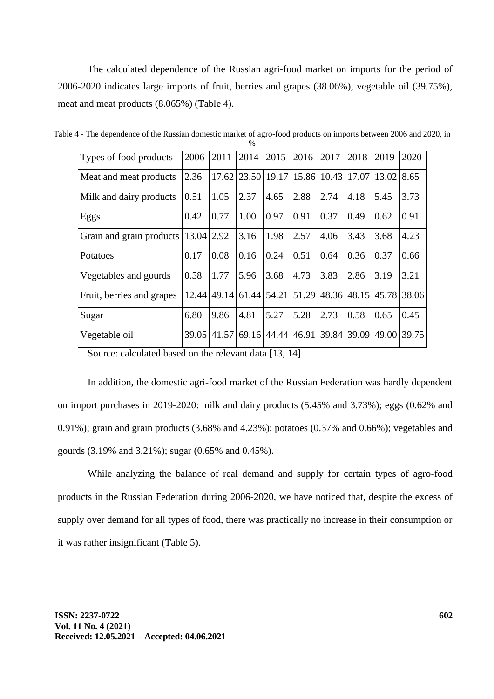The calculated dependence of the Russian agri-food market on imports for the period of 2006-2020 indicates large imports of fruit, berries and grapes (38.06%), vegetable oil (39.75%), meat and meat products (8.065%) (Table 4).

| Types of food products                  | 2006  | 2011        | 2014        | 2015              | 2016  | 2017                          | 2018        | 2019  | 2020        |
|-----------------------------------------|-------|-------------|-------------|-------------------|-------|-------------------------------|-------------|-------|-------------|
| Meat and meat products                  | 2.36  |             |             |                   |       | 17.62 23.50 19.17 15.86 10.43 | 17.07       | 13.02 | 8.65        |
| Milk and dairy products                 | 0.51  | 1.05        | 2.37        | 4.65              | 2.88  | 2.74                          | 4.18        | 5.45  | 3.73        |
| Eggs                                    | 0.42  | 0.77        | 1.00        | 0.97              | 0.91  | 0.37                          | 0.49        | 0.62  | 0.91        |
| Grain and grain products   13.04   2.92 |       |             | 3.16        | 1.98              | 2.57  | 4.06                          | 3.43        | 3.68  | 4.23        |
| Potatoes                                | 0.17  | 0.08        | 0.16        | 0.24              | 0.51  | 0.64                          | 0.36        | 0.37  | 0.66        |
| Vegetables and gourds                   | 0.58  | 1.77        | 5.96        | 3.68              | 4.73  | 3.83                          | 2.86        | 3.19  | 3.21        |
| Fruit, berries and grapes               |       | 12.44 49.14 | 61.44 54.21 |                   | 51.29 |                               | 48.36 48.15 |       | 45.78 38.06 |
| Sugar                                   | 6.80  | 9.86        | 4.81        | 5.27              | 5.28  | 2.73                          | 0.58        | 0.65  | 0.45        |
| Vegetable oil                           | 39.05 | 41.57       |             | 69.16 44.44 46.91 |       | 39.84                         | 39.09       | 49.00 | 39.75       |

Table 4 - The dependence of the Russian domestic market of agro-food products on imports between 2006 and 2020, in  $\frac{0}{6}$ 

Source: calculated based on the relevant data [13, 14]

In addition, the domestic agri-food market of the Russian Federation was hardly dependent on import purchases in 2019-2020: milk and dairy products (5.45% and 3.73%); eggs (0.62% and 0.91%); grain and grain products (3.68% and 4.23%); potatoes (0.37% and 0.66%); vegetables and gourds (3.19% and 3.21%); sugar (0.65% and 0.45%).

While analyzing the balance of real demand and supply for certain types of agro-food products in the Russian Federation during 2006-2020, we have noticed that, despite the excess of supply over demand for all types of food, there was practically no increase in their consumption or it was rather insignificant (Table 5).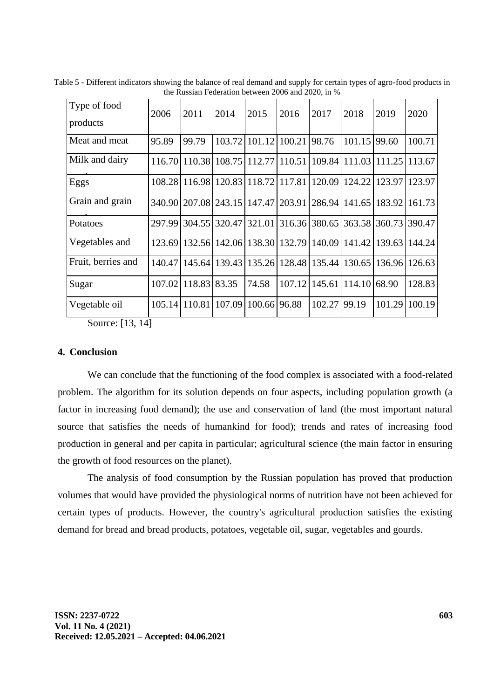| Type of food<br>products | 2006   | 2011         | 2014                        | 2015         | 2016   | 2017          | 2018                 | 2019   | 2020                 |
|--------------------------|--------|--------------|-----------------------------|--------------|--------|---------------|----------------------|--------|----------------------|
| Meat and meat            | 95.89  | 99.79        | 103.72                      | 101.12       | 100.21 | 98.76         | 101.15               | 99.60  | 100.71               |
| Milk and dairy           | 116.70 |              | 110.38 108.75 112.77 110.51 |              |        |               | 109.84 111.03        |        | 111.25 113.67        |
| Eggs                     | 108.28 |              | 116.98 120.83 118.72        |              | 117.81 |               | 120.09 124.22        | 123.97 | 123.97               |
| Grain and grain          | 340.90 |              | 207.08 243.15 147.47 203.91 |              |        |               | 286.94 141.65        |        | 183.92 161.73        |
| Potatoes                 | 297.99 | 304.55       | 320.47 321.01               |              |        | 316.36 380.65 |                      |        | 363.58 360.73 390.47 |
| Vegetables and           | 123.69 |              | 132.56 142.06               | 138.30       | 132.79 | 140.09        | 141.42               | 139.63 | 144.24               |
| Fruit, berries and       | 140.47 |              | 145.64 139.43 135.26        |              |        |               | 128.48 135.44 130.65 | 136.96 | 126.63               |
| Sugar                    | 107.02 | 118.83 83.35 |                             | 74.58        | 107.12 | 145.61        | 114.10               | 68.90  | 128.83               |
| Vegetable oil            | 105.14 |              | 110.81 107.09               | 100.66 96.88 |        | 102.27        | 99.19                | 101.29 | 100.19               |

Table 5 - Different indicators showing the balance of real demand and supply for certain types of agro-food products in the Russian Federation between 2006 and 2020, in %

Source: [13, 14]

## **4. Conclusion**

We can conclude that the functioning of the food complex is associated with a food-related problem. The algorithm for its solution depends on four aspects, including population growth (a factor in increasing food demand); the use and conservation of land (the most important natural source that satisfies the needs of humankind for food); trends and rates of increasing food production in general and per capita in particular; agricultural science (the main factor in ensuring the growth of food resources on the planet).

The analysis of food consumption by the Russian population has proved that production volumes that would have provided the physiological norms of nutrition have not been achieved for certain types of products. However, the country's agricultural production satisfies the existing demand for bread and bread products, potatoes, vegetable oil, sugar, vegetables and gourds.